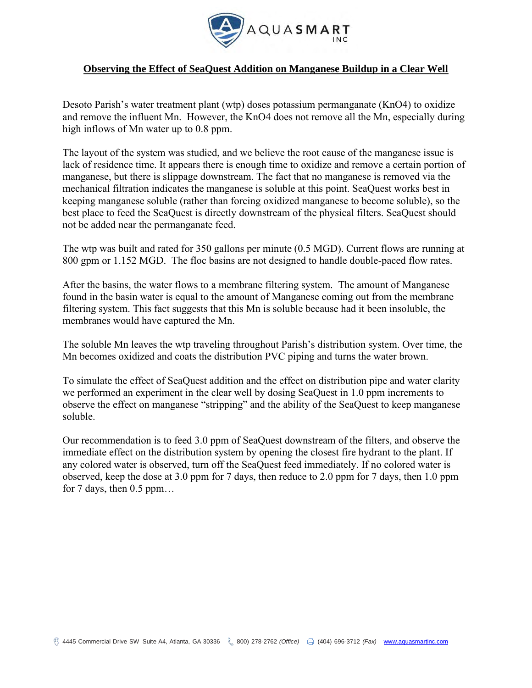

# **Observing the Effect of SeaQuest Addition on Manganese Buildup in a Clear Well**

Desoto Parish's water treatment plant (wtp) doses potassium permanganate (KnO4) to oxidize and remove the influent Mn. However, the KnO4 does not remove all the Mn, especially during high inflows of Mn water up to 0.8 ppm.

The layout of the system was studied, and we believe the root cause of the manganese issue is lack of residence time. It appears there is enough time to oxidize and remove a certain portion of manganese, but there is slippage downstream. The fact that no manganese is removed via the mechanical filtration indicates the manganese is soluble at this point. SeaQuest works best in keeping manganese soluble (rather than forcing oxidized manganese to become soluble), so the best place to feed the SeaQuest is directly downstream of the physical filters. SeaQuest should not be added near the permanganate feed.

The wtp was built and rated for 350 gallons per minute (0.5 MGD). Current flows are running at 800 gpm or 1.152 MGD. The floc basins are not designed to handle double-paced flow rates.

After the basins, the water flows to a membrane filtering system. The amount of Manganese found in the basin water is equal to the amount of Manganese coming out from the membrane filtering system. This fact suggests that this Mn is soluble because had it been insoluble, the membranes would have captured the Mn.

The soluble Mn leaves the wtp traveling throughout Parish's distribution system. Over time, the Mn becomes oxidized and coats the distribution PVC piping and turns the water brown.

To simulate the effect of SeaQuest addition and the effect on distribution pipe and water clarity we performed an experiment in the clear well by dosing SeaQuest in 1.0 ppm increments to observe the effect on manganese "stripping" and the ability of the SeaQuest to keep manganese soluble.

Our recommendation is to feed 3.0 ppm of SeaQuest downstream of the filters, and observe the immediate effect on the distribution system by opening the closest fire hydrant to the plant. If any colored water is observed, turn off the SeaQuest feed immediately. If no colored water is observed, keep the dose at 3.0 ppm for 7 days, then reduce to 2.0 ppm for 7 days, then 1.0 ppm for 7 days, then 0.5 ppm…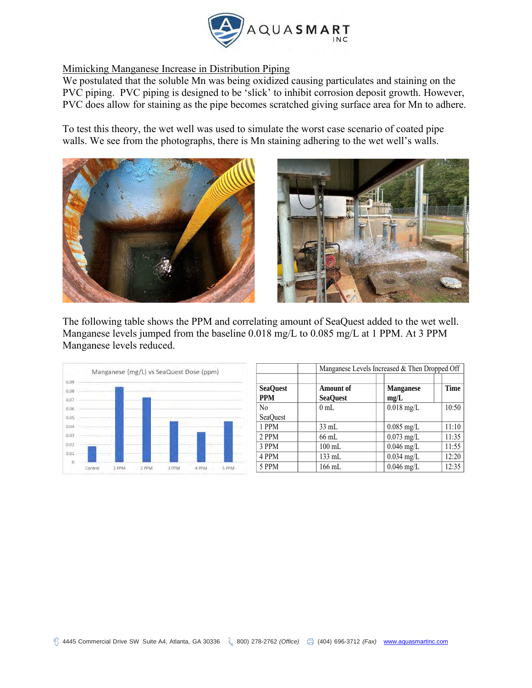

# Mimicking Manganese Increase in Distribution Piping

We postulated that the soluble Mn was being oxidized causing particulates and staining on the PVC piping. PVC piping is designed to be 'slick' to inhibit corrosion deposit growth. However, PVC does allow for staining as the pipe becomes scratched giving surface area for Mn to adhere.

To test this theory, the wet well was used to simulate the worst case scenario of coated pipe walls. We see from the photographs, there is Mn staining adhering to the wet well's walls.





The following table shows the PPM and correlating amount of SeaQuest added to the wet well. Manganese levels jumped from the baseline 0.018 mg/L to 0.085 mg/L at 1 PPM. At 3 PPM Manganese levels reduced.



|                               |                                     | Manganese Levels Increased & Then Dropped Off |       |  |
|-------------------------------|-------------------------------------|-----------------------------------------------|-------|--|
|                               |                                     |                                               |       |  |
| <b>SeaQuest</b><br><b>PPM</b> | <b>Amount of</b><br><b>SeaQuest</b> | <b>Manganese</b><br>mg/L                      | Time  |  |
| N <sub>0</sub>                | 0 <sub>mL</sub>                     | $0.018$ mg/L                                  | 10:50 |  |
| <b>SeaOuest</b>               |                                     |                                               |       |  |
| 1 PPM                         | $33 \text{ mL}$                     | $0.085$ mg/L                                  | 11:10 |  |
| 2 PPM                         | $66$ mL                             | $0.073$ mg/L                                  | 11:35 |  |
| 3 PPM                         | $100 \text{ mL}$                    | $0.046$ mg/L                                  | 11:55 |  |
| 4 PPM                         | 133 mL                              | $0.034$ mg/L                                  | 12:20 |  |
| 5 PPM                         | 166 mL                              | $0.046$ mg/L                                  | 12:35 |  |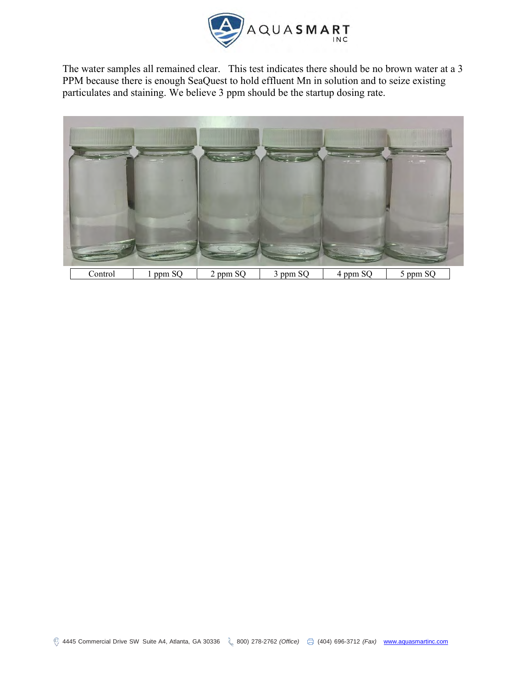

The water samples all remained clear. This test indicates there should be no brown water at a 3 PPM because there is enough SeaQuest to hold effluent Mn in solution and to seize existing particulates and staining. We believe 3 ppm should be the startup dosing rate.

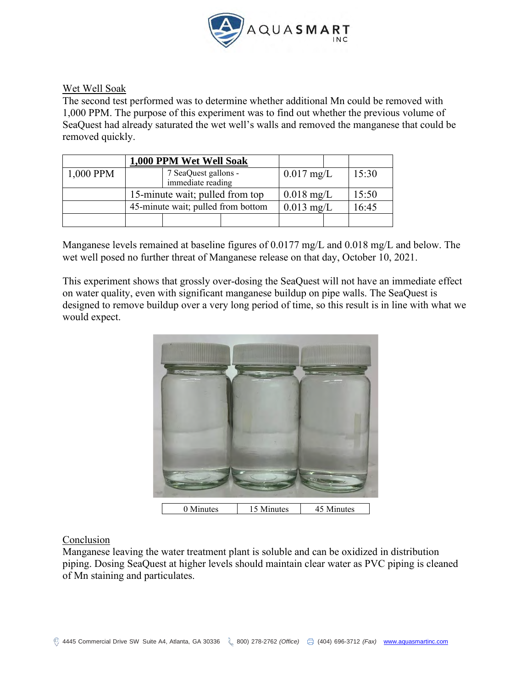

## Wet Well Soak

The second test performed was to determine whether additional Mn could be removed with 1,000 PPM. The purpose of this experiment was to find out whether the previous volume of SeaQuest had already saturated the wet well's walls and removed the manganese that could be removed quickly.

|           | 1,000 PPM Wet Well Soak            |                                           |              |  |       |  |
|-----------|------------------------------------|-------------------------------------------|--------------|--|-------|--|
| 1,000 PPM |                                    | 7 SeaQuest gallons -<br>immediate reading | $0.017$ mg/L |  | 15:30 |  |
|           | 15-minute wait; pulled from top    |                                           | $0.018$ mg/L |  | 15:50 |  |
|           | 45-minute wait; pulled from bottom |                                           | $0.013$ mg/L |  | 16:45 |  |
|           |                                    |                                           |              |  |       |  |

Manganese levels remained at baseline figures of 0.0177 mg/L and 0.018 mg/L and below. The wet well posed no further threat of Manganese release on that day, October 10, 2021.

This experiment shows that grossly over-dosing the SeaQuest will not have an immediate effect on water quality, even with significant manganese buildup on pipe walls. The SeaQuest is designed to remove buildup over a very long period of time, so this result is in line with what we would expect.



### Conclusion

Manganese leaving the water treatment plant is soluble and can be oxidized in distribution piping. Dosing SeaQuest at higher levels should maintain clear water as PVC piping is cleaned of Mn staining and particulates.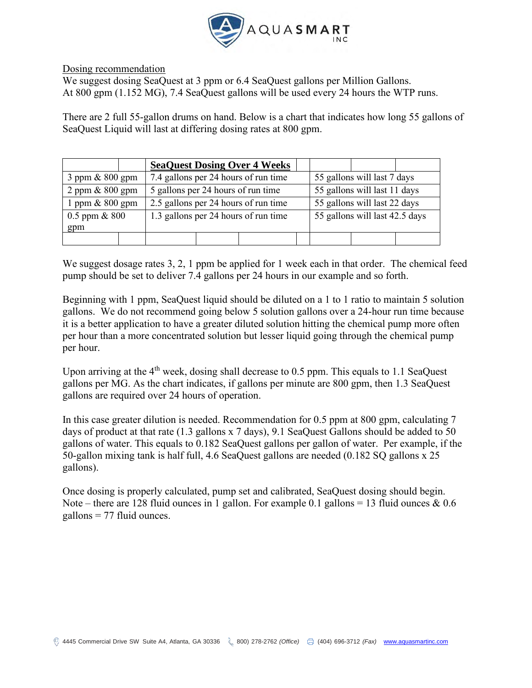

#### Dosing recommendation

We suggest dosing SeaQuest at 3 ppm or 6.4 SeaQuest gallons per Million Gallons. At 800 gpm (1.152 MG), 7.4 SeaQuest gallons will be used every 24 hours the WTP runs.

There are 2 full 55-gallon drums on hand. Below is a chart that indicates how long 55 gallons of SeaQuest Liquid will last at differing dosing rates at 800 gpm.

|                      | <b>SeaQuest Dosing Over 4 Weeks</b>  |                                |  |  |
|----------------------|--------------------------------------|--------------------------------|--|--|
| $3$ ppm & $800$ gpm  | 7.4 gallons per 24 hours of run time | 55 gallons will last 7 days    |  |  |
| $2$ ppm $\&$ 800 gpm | 5 gallons per 24 hours of run time   | 55 gallons will last 11 days   |  |  |
| 1 ppm $& 800$ gpm    | 2.5 gallons per 24 hours of run time | 55 gallons will last 22 days   |  |  |
| $0.5$ ppm & $800$    | 1.3 gallons per 24 hours of run time | 55 gallons will last 42.5 days |  |  |
| gpm                  |                                      |                                |  |  |
|                      |                                      |                                |  |  |

We suggest dosage rates 3, 2, 1 ppm be applied for 1 week each in that order. The chemical feed pump should be set to deliver 7.4 gallons per 24 hours in our example and so forth.

Beginning with 1 ppm, SeaQuest liquid should be diluted on a 1 to 1 ratio to maintain 5 solution gallons. We do not recommend going below 5 solution gallons over a 24-hour run time because it is a better application to have a greater diluted solution hitting the chemical pump more often per hour than a more concentrated solution but lesser liquid going through the chemical pump per hour.

Upon arriving at the  $4<sup>th</sup>$  week, dosing shall decrease to 0.5 ppm. This equals to 1.1 SeaQuest gallons per MG. As the chart indicates, if gallons per minute are 800 gpm, then 1.3 SeaQuest gallons are required over 24 hours of operation.

In this case greater dilution is needed. Recommendation for 0.5 ppm at 800 gpm, calculating 7 days of product at that rate (1.3 gallons x 7 days), 9.1 SeaQuest Gallons should be added to 50 gallons of water. This equals to 0.182 SeaQuest gallons per gallon of water. Per example, if the 50-gallon mixing tank is half full, 4.6 SeaQuest gallons are needed (0.182 SQ gallons x 25 gallons).

Once dosing is properly calculated, pump set and calibrated, SeaQuest dosing should begin. Note – there are 128 fluid ounces in 1 gallon. For example 0.1 gallons = 13 fluid ounces  $\&$  0.6 gallons  $= 77$  fluid ounces.